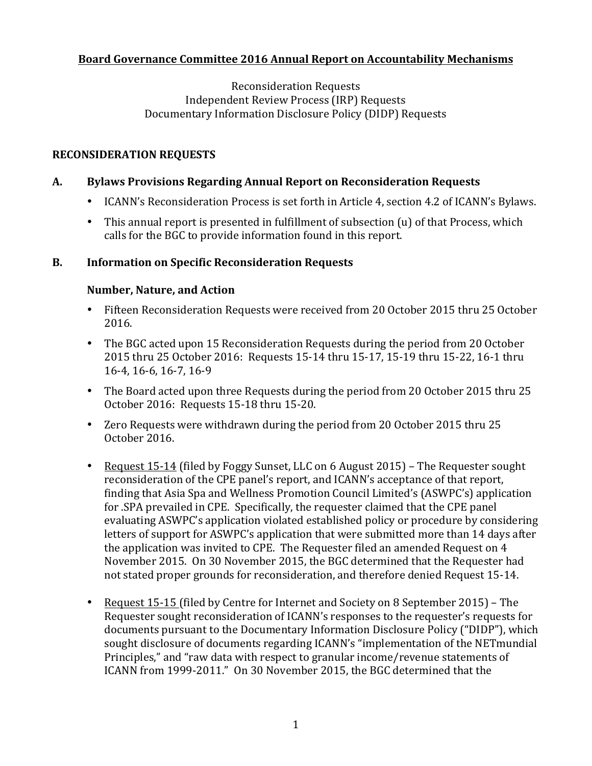# **Board Governance Committee 2016 Annual Report on Accountability Mechanisms**

Reconsideration Requests Independent Review Process (IRP) Requests Documentary Information Disclosure Policy (DIDP) Requests

### **RECONSIDERATION REQUESTS**

### **A. Bylaws Provisions Regarding Annual Report on Reconsideration Requests**

- ICANN's Reconsideration Process is set forth in Article 4, section 4.2 of ICANN's Bylaws.
- This annual report is presented in fulfillment of subsection (u) of that Process, which calls for the BGC to provide information found in this report.

#### **B. Information on Specific Reconsideration Requests**

#### **Number, Nature, and Action**

- Fifteen Reconsideration Requests were received from 20 October 2015 thru 25 October 2016.
- The BGC acted upon 15 Reconsideration Requests during the period from 20 October 2015 thru 25 October 2016: Requests 15-14 thru 15-17, 15-19 thru 15-22, 16-1 thru 16-4, 16-6, 16-7, 16-9
- The Board acted upon three Requests during the period from 20 October 2015 thru 25 October 2016: Requests 15-18 thru 15-20.
- Zero Requests were withdrawn during the period from 20 October 2015 thru 25 October 2016.
- Request 15-14 (filed by Foggy Sunset, LLC on 6 August 2015) The Requester sought reconsideration of the CPE panel's report, and ICANN's acceptance of that report, finding that Asia Spa and Wellness Promotion Council Limited's (ASWPC's) application for .SPA prevailed in CPE. Specifically, the requester claimed that the CPE panel evaluating ASWPC's application violated established policy or procedure by considering letters of support for ASWPC's application that were submitted more than 14 days after the application was invited to CPE. The Requester filed an amended Request on 4 November 2015. On 30 November 2015, the BGC determined that the Requester had not stated proper grounds for reconsideration, and therefore denied Request 15-14.
- Request 15-15 (filed by Centre for Internet and Society on 8 September 2015) The Requester sought reconsideration of ICANN's responses to the requester's requests for documents pursuant to the Documentary Information Disclosure Policy ("DIDP"), which sought disclosure of documents regarding ICANN's "implementation of the NETmundial Principles," and "raw data with respect to granular income/revenue statements of ICANN from 1999-2011." On 30 November 2015, the BGC determined that the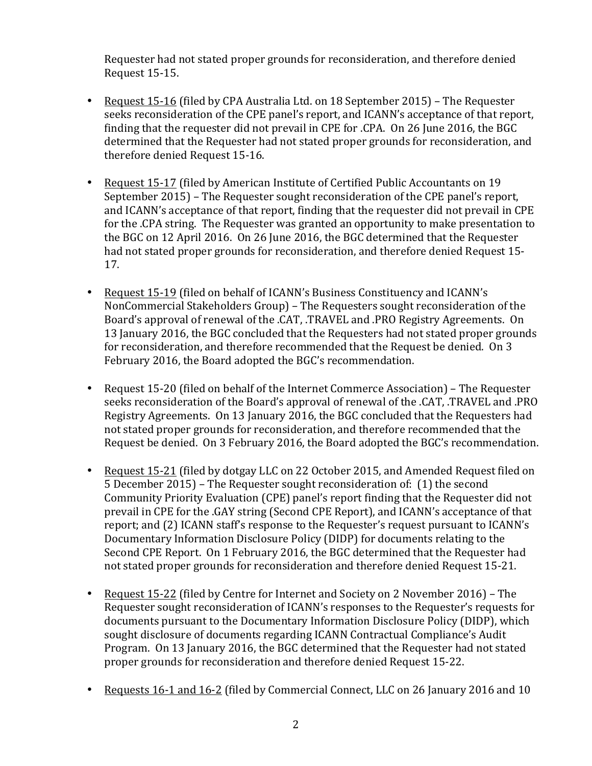Requester had not stated proper grounds for reconsideration, and therefore denied Request 15-15.

- Request 15-16 (filed by CPA Australia Ltd. on 18 September 2015) The Requester seeks reconsideration of the CPE panel's report, and ICANN's acceptance of that report, finding that the requester did not prevail in CPE for .CPA. On 26 June 2016, the BGC determined that the Requester had not stated proper grounds for reconsideration, and therefore denied Request 15-16.
- Request 15-17 (filed by American Institute of Certified Public Accountants on 19 September 2015) – The Requester sought reconsideration of the CPE panel's report, and ICANN's acceptance of that report, finding that the requester did not prevail in CPE for the .CPA string. The Requester was granted an opportunity to make presentation to the BGC on 12 April 2016. On 26 June 2016, the BGC determined that the Requester had not stated proper grounds for reconsideration, and therefore denied Request 15-17.
- Request 15-19 (filed on behalf of ICANN's Business Constituency and ICANN's NonCommercial Stakeholders Group) - The Requesters sought reconsideration of the Board's approval of renewal of the .CAT, .TRAVEL and .PRO Registry Agreements. On 13 January 2016, the BGC concluded that the Requesters had not stated proper grounds for reconsideration, and therefore recommended that the Request be denied. On 3 February 2016, the Board adopted the BGC's recommendation.
- Request 15-20 (filed on behalf of the Internet Commerce Association) The Requester seeks reconsideration of the Board's approval of renewal of the .CAT, .TRAVEL and .PRO Registry Agreements. On 13 January 2016, the BGC concluded that the Requesters had not stated proper grounds for reconsideration, and therefore recommended that the Request be denied. On 3 February 2016, the Board adopted the BGC's recommendation.
- Request 15-21 (filed by dotgay LLC on 22 October 2015, and Amended Request filed on 5 December 2015) – The Requester sought reconsideration of: (1) the second Community Priority Evaluation (CPE) panel's report finding that the Requester did not prevail in CPE for the .GAY string (Second CPE Report), and ICANN's acceptance of that report; and (2) ICANN staff's response to the Requester's request pursuant to ICANN's Documentary Information Disclosure Policy (DIDP) for documents relating to the Second CPE Report. On 1 February 2016, the BGC determined that the Requester had not stated proper grounds for reconsideration and therefore denied Request 15-21.
- Request 15-22 (filed by Centre for Internet and Society on 2 November 2016) The Requester sought reconsideration of ICANN's responses to the Requester's requests for documents pursuant to the Documentary Information Disclosure Policy (DIDP), which sought disclosure of documents regarding ICANN Contractual Compliance's Audit Program. On 13 January 2016, the BGC determined that the Requester had not stated proper grounds for reconsideration and therefore denied Request 15-22.
- Requests 16-1 and 16-2 (filed by Commercial Connect, LLC on 26 January 2016 and 10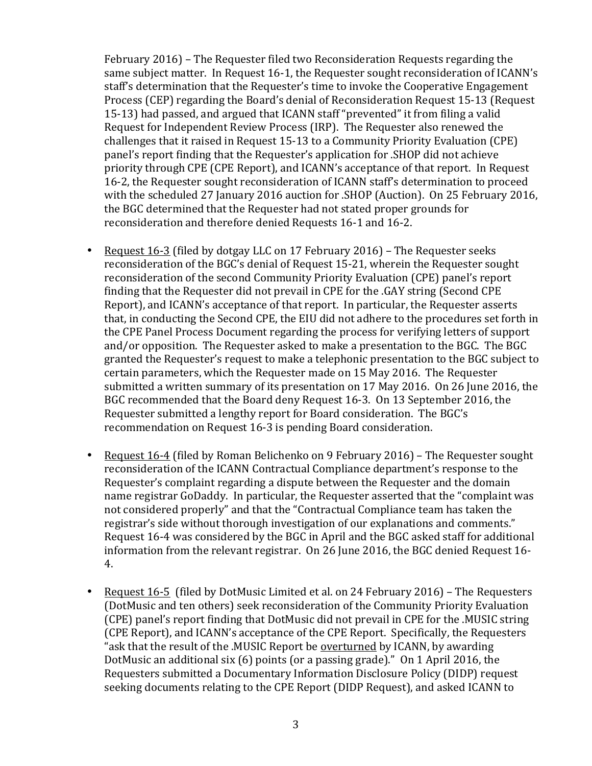February 2016) – The Requester filed two Reconsideration Requests regarding the same subject matter. In Request 16-1, the Requester sought reconsideration of ICANN's staff's determination that the Requester's time to invoke the Cooperative Engagement Process (CEP) regarding the Board's denial of Reconsideration Request 15-13 (Request 15-13) had passed, and argued that ICANN staff "prevented" it from filing a valid Request for Independent Review Process (IRP). The Requester also renewed the challenges that it raised in Request 15-13 to a Community Priority Evaluation (CPE) panel's report finding that the Requester's application for .SHOP did not achieve priority through CPE (CPE Report), and ICANN's acceptance of that report. In Request 16-2, the Requester sought reconsideration of ICANN staff's determination to proceed with the scheduled 27 January 2016 auction for .SHOP (Auction). On 25 February 2016, the BGC determined that the Requester had not stated proper grounds for reconsideration and therefore denied Requests 16-1 and 16-2.

- Request 16-3 (filed by dotgay LLC on 17 February 2016) The Requester seeks reconsideration of the BGC's denial of Request 15-21, wherein the Requester sought reconsideration of the second Community Priority Evaluation (CPE) panel's report finding that the Requester did not prevail in CPE for the .GAY string (Second CPE Report), and ICANN's acceptance of that report. In particular, the Requester asserts that, in conducting the Second CPE, the EIU did not adhere to the procedures set forth in the CPE Panel Process Document regarding the process for verifying letters of support and/or opposition. The Requester asked to make a presentation to the BGC. The BGC granted the Requester's request to make a telephonic presentation to the BGC subject to certain parameters, which the Requester made on 15 May 2016. The Requester submitted a written summary of its presentation on 17 May 2016. On 26 June 2016, the BGC recommended that the Board deny Request 16-3. On 13 September 2016, the Requester submitted a lengthy report for Board consideration. The BGC's recommendation on Request 16-3 is pending Board consideration.
- Request 16-4 (filed by Roman Belichenko on 9 February 2016) The Requester sought reconsideration of the ICANN Contractual Compliance department's response to the Requester's complaint regarding a dispute between the Requester and the domain name registrar GoDaddy. In particular, the Requester asserted that the "complaint was not considered properly" and that the "Contractual Compliance team has taken the registrar's side without thorough investigation of our explanations and comments." Request 16-4 was considered by the BGC in April and the BGC asked staff for additional information from the relevant registrar. On 26 June 2016, the BGC denied Request  $16$ -4.
- Request 16-5 (filed by DotMusic Limited et al. on 24 February 2016) The Requesters (DotMusic and ten others) seek reconsideration of the Community Priority Evaluation (CPE) panel's report finding that DotMusic did not prevail in CPE for the .MUSIC string (CPE Report), and ICANN's acceptance of the CPE Report. Specifically, the Requesters "ask that the result of the .MUSIC Report be overturned by ICANN, by awarding DotMusic an additional six  $(6)$  points  $(or a passing grade)$ ." On 1 April 2016, the Requesters submitted a Documentary Information Disclosure Policy (DIDP) request seeking documents relating to the CPE Report (DIDP Request), and asked ICANN to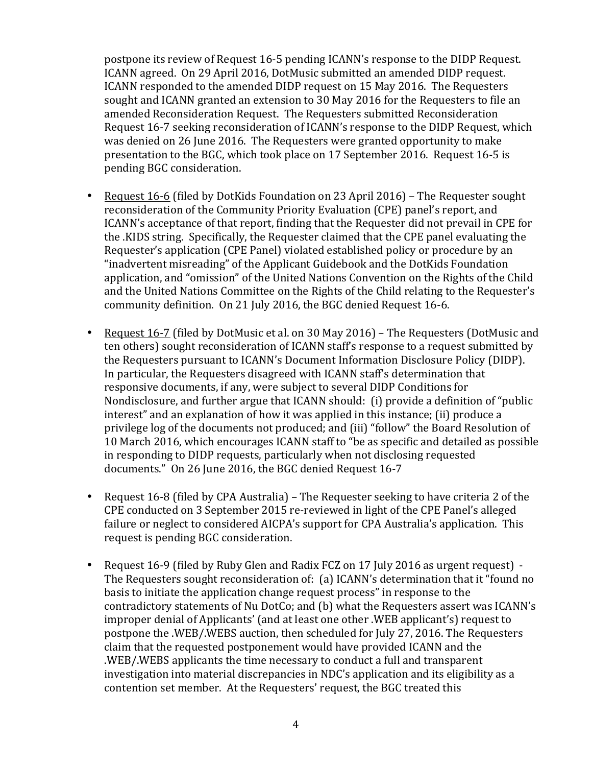postpone its review of Request 16-5 pending ICANN's response to the DIDP Request. ICANN agreed. On 29 April 2016, DotMusic submitted an amended DIDP request. ICANN responded to the amended DIDP request on 15 May 2016. The Requesters sought and ICANN granted an extension to 30 May 2016 for the Requesters to file an amended Reconsideration Request. The Requesters submitted Reconsideration Request 16-7 seeking reconsideration of ICANN's response to the DIDP Request, which was denied on 26 June 2016. The Requesters were granted opportunity to make presentation to the BGC, which took place on 17 September 2016. Request 16-5 is pending BGC consideration.

- Request 16-6 (filed by DotKids Foundation on 23 April 2016) The Requester sought reconsideration of the Community Priority Evaluation (CPE) panel's report, and ICANN's acceptance of that report, finding that the Requester did not prevail in CPE for the .KIDS string. Specifically, the Requester claimed that the CPE panel evaluating the Requester's application (CPE Panel) violated established policy or procedure by an "inadvertent misreading" of the Applicant Guidebook and the DotKids Foundation application, and "omission" of the United Nations Convention on the Rights of the Child and the United Nations Committee on the Rights of the Child relating to the Requester's community definition. On 21 July 2016, the BGC denied Request 16-6.
- Request 16-7 (filed by DotMusic et al. on 30 May 2016) The Requesters (DotMusic and ten others) sought reconsideration of ICANN staff's response to a request submitted by the Requesters pursuant to ICANN's Document Information Disclosure Policy (DIDP). In particular, the Requesters disagreed with ICANN staff's determination that responsive documents, if any, were subject to several DIDP Conditions for Nondisclosure, and further argue that ICANN should: (i) provide a definition of "public interest" and an explanation of how it was applied in this instance; (ii) produce a privilege log of the documents not produced; and (iii) "follow" the Board Resolution of 10 March 2016, which encourages ICANN staff to "be as specific and detailed as possible in responding to DIDP requests, particularly when not disclosing requested documents." On 26 June 2016, the BGC denied Request 16-7
- Request 16-8 (filed by CPA Australia) The Requester seeking to have criteria 2 of the CPE conducted on 3 September 2015 re-reviewed in light of the CPE Panel's alleged failure or neglect to considered AICPA's support for CPA Australia's application. This request is pending BGC consideration.
- Request 16-9 (filed by Ruby Glen and Radix FCZ on 17 July 2016 as urgent request) -The Requesters sought reconsideration of: (a) ICANN's determination that it "found no basis to initiate the application change request process" in response to the contradictory statements of Nu DotCo; and (b) what the Requesters assert was ICANN's improper denial of Applicants' (and at least one other .WEB applicant's) request to postpone the .WEB/.WEBS auction, then scheduled for July 27, 2016. The Requesters claim that the requested postponement would have provided ICANN and the .WEB/.WEBS applicants the time necessary to conduct a full and transparent investigation into material discrepancies in NDC's application and its eligibility as a contention set member. At the Requesters' request, the BGC treated this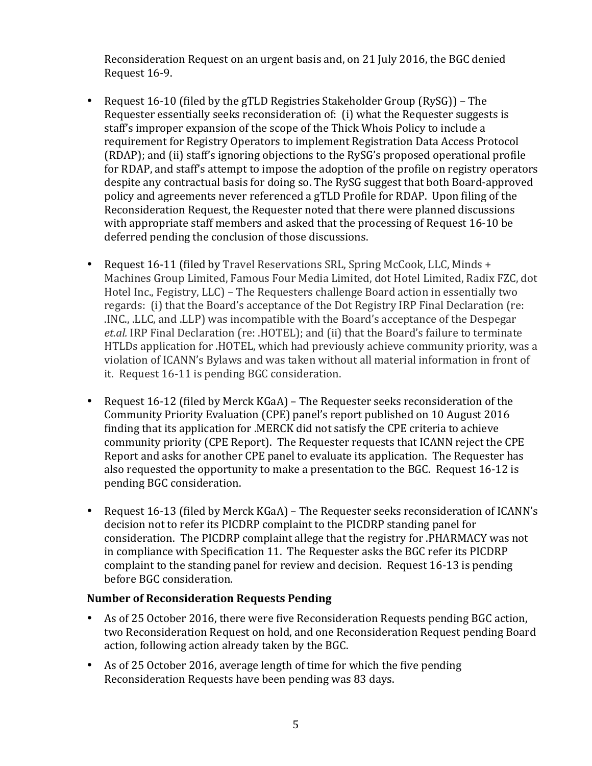Reconsideration Request on an urgent basis and, on 21 July 2016, the BGC denied Request 16-9.

- Request 16-10 (filed by the gTLD Registries Stakeholder Group (RySG)) The Requester essentially seeks reconsideration of: (i) what the Requester suggests is staff's improper expansion of the scope of the Thick Whois Policy to include a requirement for Registry Operators to implement Registration Data Access Protocol (RDAP); and (ii) staff's ignoring objections to the RySG's proposed operational profile for RDAP, and staff's attempt to impose the adoption of the profile on registry operators despite any contractual basis for doing so. The RySG suggest that both Board-approved policy and agreements never referenced a gTLD Profile for RDAP. Upon filing of the Reconsideration Request, the Requester noted that there were planned discussions with appropriate staff members and asked that the processing of Request 16-10 be deferred pending the conclusion of those discussions.
- Request 16-11 (filed by Travel Reservations SRL, Spring McCook, LLC, Minds + Machines Group Limited, Famous Four Media Limited, dot Hotel Limited, Radix FZC, dot Hotel Inc., Fegistry, LLC) – The Requesters challenge Board action in essentially two regards: (i) that the Board's acceptance of the Dot Registry IRP Final Declaration (re: INC., .LLC, and .LLP) was incompatible with the Board's acceptance of the Despegar *et.al.* IRP Final Declaration (re: .HOTEL); and (ii) that the Board's failure to terminate HTLDs application for .HOTEL, which had previously achieve community priority, was a violation of ICANN's Bylaws and was taken without all material information in front of it. Request 16-11 is pending BGC consideration.
- Request 16-12 (filed by Merck KGaA) The Requester seeks reconsideration of the Community Priority Evaluation (CPE) panel's report published on 10 August 2016 finding that its application for .MERCK did not satisfy the CPE criteria to achieve community priority (CPE Report). The Requester requests that ICANN reject the CPE Report and asks for another CPE panel to evaluate its application. The Requester has also requested the opportunity to make a presentation to the BGC. Request 16-12 is pending BGC consideration.
- Request 16-13 (filed by Merck KGaA) The Requester seeks reconsideration of ICANN's decision not to refer its PICDRP complaint to the PICDRP standing panel for consideration. The PICDRP complaint allege that the registry for .PHARMACY was not in compliance with Specification 11. The Requester asks the BGC refer its PICDRP complaint to the standing panel for review and decision. Request 16-13 is pending before BGC consideration.

# **Number of Reconsideration Requests Pending**

- As of 25 October 2016, there were five Reconsideration Requests pending BGC action, two Reconsideration Request on hold, and one Reconsideration Request pending Board action, following action already taken by the BGC.
- As of 25 October 2016, average length of time for which the five pending Reconsideration Requests have been pending was 83 days.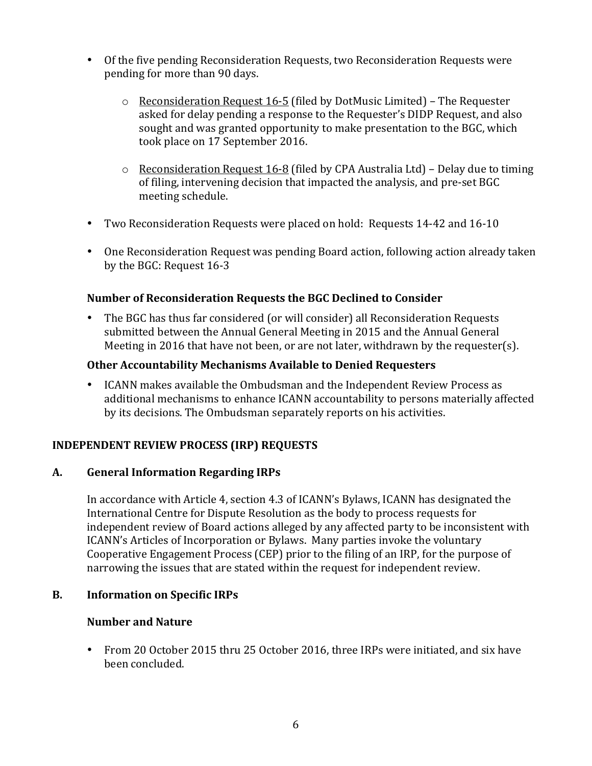- Of the five pending Reconsideration Requests, two Reconsideration Requests were pending for more than 90 days.
	- $\circ$  Reconsideration Request 16-5 (filed by DotMusic Limited) The Requester asked for delay pending a response to the Requester's DIDP Request, and also sought and was granted opportunity to make presentation to the BGC, which took place on 17 September 2016.
	- $\circ$  Reconsideration Request 16-8 (filed by CPA Australia Ltd) Delay due to timing of filing, intervening decision that impacted the analysis, and pre-set BGC meeting schedule.
- Two Reconsideration Requests were placed on hold: Requests 14-42 and 16-10
- One Reconsideration Request was pending Board action, following action already taken by the BGC: Request 16-3

# **Number of Reconsideration Requests the BGC Declined to Consider**

• The BGC has thus far considered (or will consider) all Reconsideration Requests submitted between the Annual General Meeting in 2015 and the Annual General Meeting in 2016 that have not been, or are not later, withdrawn by the requester(s).

### **Other Accountability Mechanisms Available to Denied Requesters**

• ICANN makes available the Ombudsman and the Independent Review Process as additional mechanisms to enhance ICANN accountability to persons materially affected by its decisions. The Ombudsman separately reports on his activities.

# **INDEPENDENT REVIEW PROCESS (IRP) REQUESTS**

#### **A. General Information Regarding IRPs**

In accordance with Article 4, section 4.3 of ICANN's Bylaws, ICANN has designated the International Centre for Dispute Resolution as the body to process requests for independent review of Board actions alleged by any affected party to be inconsistent with ICANN's Articles of Incorporation or Bylaws. Many parties invoke the voluntary Cooperative Engagement Process (CEP) prior to the filing of an IRP, for the purpose of narrowing the issues that are stated within the request for independent review.

# **B.** Information on Specific IRPs

#### **Number and Nature**

• From 20 October 2015 thru 25 October 2016, three IRPs were initiated, and six have been concluded.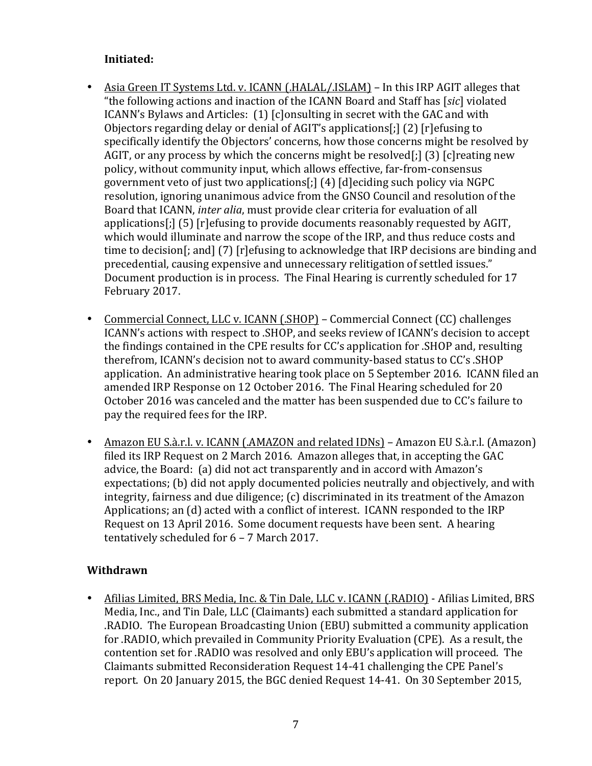# **Initiated:**

- Asia Green IT Systems Ltd. v. ICANN (.HALAL/.ISLAM) In this IRP AGIT alleges that "the following actions and inaction of the ICANN Board and Staff has [*sic*] violated ICANN's Bylaws and Articles: (1) [c]onsulting in secret with the GAC and with Objectors regarding delay or denial of AGIT's applications[;]  $(2)$  [r]efusing to specifically identify the Objectors' concerns, how those concerns might be resolved by AGIT, or any process by which the concerns might be resolved[;] (3) [c] reating new policy, without community input, which allows effective, far-from-consensus government veto of just two applications[;]  $(4)$  [d]eciding such policy via NGPC resolution, ignoring unanimous advice from the GNSO Council and resolution of the Board that ICANN, *inter alia*, must provide clear criteria for evaluation of all applications[;]  $(5)$  [r]efusing to provide documents reasonably requested by AGIT, which would illuminate and narrow the scope of the IRP, and thus reduce costs and time to decision[; and]  $(7)$  [r]efusing to acknowledge that IRP decisions are binding and precedential, causing expensive and unnecessary relitigation of settled issues." Document production is in process. The Final Hearing is currently scheduled for 17 February 2017.
- Commercial Connect, LLC v. ICANN (.SHOP) Commercial Connect (CC) challenges ICANN's actions with respect to .SHOP, and seeks review of ICANN's decision to accept the findings contained in the CPE results for CC's application for .SHOP and, resulting therefrom, ICANN's decision not to award community-based status to CC's .SHOP application. An administrative hearing took place on 5 September 2016. ICANN filed an amended IRP Response on 12 October 2016. The Final Hearing scheduled for 20 October 2016 was canceled and the matter has been suspended due to CC's failure to pay the required fees for the IRP.
- Amazon EU S.à.r.l. v. ICANN (.AMAZON and related IDNs) Amazon EU S.à.r.l. (Amazon) filed its IRP Request on 2 March 2016. Amazon alleges that, in accepting the GAC advice, the Board: (a) did not act transparently and in accord with Amazon's expectations; (b) did not apply documented policies neutrally and objectively, and with integrity, fairness and due diligence; (c) discriminated in its treatment of the Amazon Applications; an (d) acted with a conflict of interest. ICANN responded to the IRP Request on 13 April 2016. Some document requests have been sent. A hearing tentatively scheduled for  $6 - 7$  March 2017.

# **Withdrawn**

• Afilias Limited, BRS Media, Inc. & Tin Dale, LLC v. ICANN (.RADIO) - Afilias Limited, BRS Media, Inc., and Tin Dale, LLC (Claimants) each submitted a standard application for RADIO. The European Broadcasting Union (EBU) submitted a community application for .RADIO, which prevailed in Community Priority Evaluation (CPE). As a result, the contention set for .RADIO was resolved and only EBU's application will proceed. The Claimants submitted Reconsideration Request 14-41 challenging the CPE Panel's report. On 20 January 2015, the BGC denied Request 14-41. On 30 September 2015,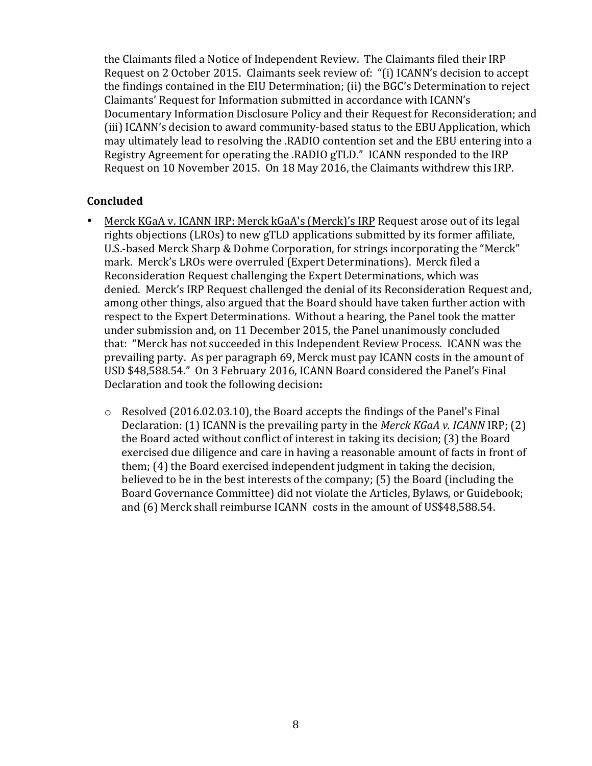the Claimants filed a Notice of Independent Review. The Claimants filed their IRP Request on 2 October 2015. Claimants seek review of: "(i) ICANN's decision to accept the findings contained in the EIU Determination; (ii) the BGC's Determination to reject Claimants' Request for Information submitted in accordance with ICANN's Documentary Information Disclosure Policy and their Request for Reconsideration; and (iii) ICANN's decision to award community-based status to the EBU Application, which may ultimately lead to resolving the .RADIO contention set and the EBU entering into a Registry Agreement for operating the .RADIO gTLD." ICANN responded to the IRP Request on 10 November 2015. On 18 May 2016, the Claimants withdrew this IRP.

### **Concluded**

- Merck KGaA v. ICANN IRP: Merck kGaA's (Merck)'s IRP Request arose out of its legal rights objections (LROs) to new gTLD applications submitted by its former affiliate, U.S.-based Merck Sharp & Dohme Corporation, for strings incorporating the "Merck" mark. Merck's LROs were overruled (Expert Determinations). Merck filed a Reconsideration Request challenging the Expert Determinations, which was denied. Merck's IRP Request challenged the denial of its Reconsideration Request and, among other things, also argued that the Board should have taken further action with respect to the Expert Determinations. Without a hearing, the Panel took the matter under submission and, on 11 December 2015, the Panel unanimously concluded that: "Merck has not succeeded in this Independent Review Process. ICANN was the prevailing party. As per paragraph 69, Merck must pay ICANN costs in the amount of USD \$48,588.54." On 3 February 2016, ICANN Board considered the Panel's Final Declaration and took the following decision:
	- $\circ$  Resolved (2016.02.03.10), the Board accepts the findings of the Panel's Final Declaration: (1) ICANN is the prevailing party in the *Merck KGaA v. ICANN* IRP; (2) the Board acted without conflict of interest in taking its decision; (3) the Board exercised due diligence and care in having a reasonable amount of facts in front of them; (4) the Board exercised independent judgment in taking the decision, believed to be in the best interests of the company;  $(5)$  the Board (including the Board Governance Committee) did not violate the Articles, Bylaws, or Guidebook; and (6) Merck shall reimburse ICANN costs in the amount of US\$48,588.54.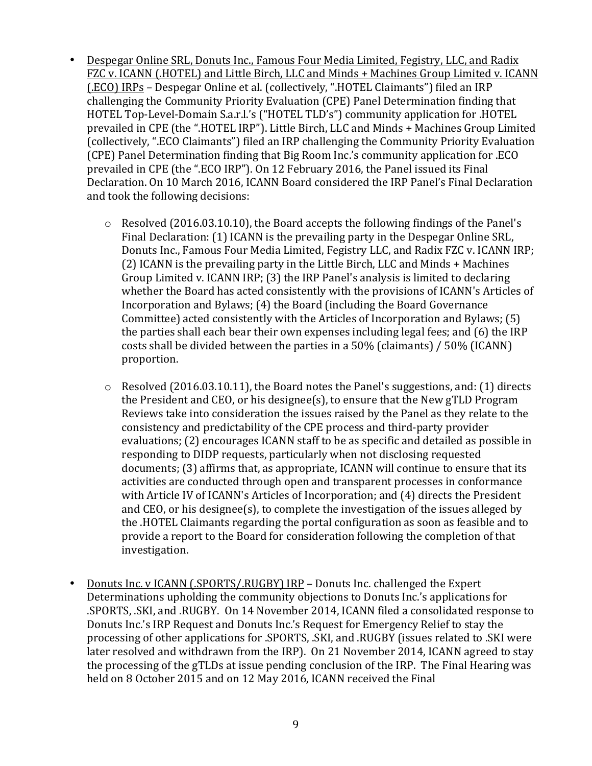- Despegar Online SRL, Donuts Inc., Famous Four Media Limited, Fegistry, LLC, and Radix FZC v. ICANN (.HOTEL) and Little Birch, LLC and Minds + Machines Group Limited v. ICANN (.ECO) IRPs - Despegar Online et al. (collectively, ".HOTEL Claimants") filed an IRP challenging the Community Priority Evaluation (CPE) Panel Determination finding that HOTEL Top-Level-Domain S.a.r.l.'s ("HOTEL TLD's") community application for .HOTEL prevailed in CPE (the ".HOTEL IRP"). Little Birch, LLC and Minds + Machines Group Limited (collectively, ".ECO Claimants") filed an IRP challenging the Community Priority Evaluation (CPE) Panel Determination finding that Big Room Inc.'s community application for .ECO prevailed in CPE (the ".ECO IRP"). On 12 February 2016, the Panel issued its Final Declaration. On 10 March 2016, ICANN Board considered the IRP Panel's Final Declaration and took the following decisions:
	- $\circ$  Resolved (2016.03.10.10), the Board accepts the following findings of the Panel's Final Declaration: (1) ICANN is the prevailing party in the Despegar Online SRL. Donuts Inc., Famous Four Media Limited, Fegistry LLC, and Radix FZC v. ICANN IRP;  $(2)$  ICANN is the prevailing party in the Little Birch, LLC and Minds + Machines Group Limited y. ICANN IRP:  $(3)$  the IRP Panel's analysis is limited to declaring whether the Board has acted consistently with the provisions of ICANN's Articles of Incorporation and Bylaws;  $(4)$  the Board (including the Board Governance Committee) acted consistently with the Articles of Incorporation and Bylaws; (5) the parties shall each bear their own expenses including legal fees; and  $(6)$  the IRP costs shall be divided between the parties in a  $50\%$  (claimants) /  $50\%$  (ICANN) proportion.
	- $\circ$  Resolved (2016.03.10.11), the Board notes the Panel's suggestions, and: (1) directs the President and  $CEO$ , or his designee(s), to ensure that the New gTLD Program Reviews take into consideration the issues raised by the Panel as they relate to the consistency and predictability of the CPE process and third-party provider evaluations; (2) encourages ICANN staff to be as specific and detailed as possible in responding to DIDP requests, particularly when not disclosing requested documents; (3) affirms that, as appropriate, ICANN will continue to ensure that its activities are conducted through open and transparent processes in conformance with Article IV of ICANN's Articles of Incorporation; and (4) directs the President and  $CEO$ , or his designee(s), to complete the investigation of the issues alleged by the .HOTEL Claimants regarding the portal configuration as soon as feasible and to provide a report to the Board for consideration following the completion of that investigation.
- Donuts Inc. v ICANN (.SPORTS/.RUGBY) IRP Donuts Inc. challenged the Expert Determinations upholding the community objections to Donuts Inc.'s applications for .SPORTS, .SKI, and .RUGBY. On 14 November 2014, ICANN filed a consolidated response to Donuts Inc.'s IRP Request and Donuts Inc.'s Request for Emergency Relief to stay the processing of other applications for .SPORTS, .SKI, and .RUGBY (issues related to .SKI were later resolved and withdrawn from the IRP). On 21 November 2014, ICANN agreed to stay the processing of the gTLDs at issue pending conclusion of the IRP. The Final Hearing was held on 8 October 2015 and on 12 May 2016, ICANN received the Final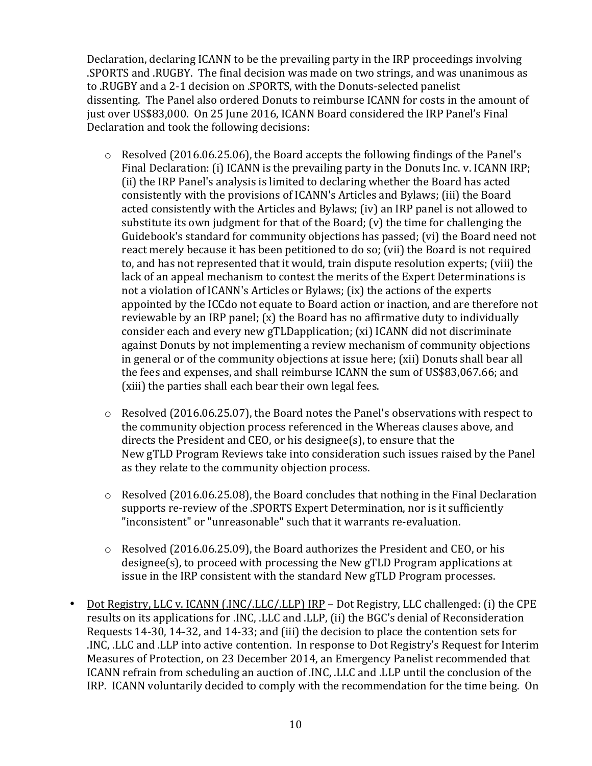Declaration, declaring ICANN to be the prevailing party in the IRP proceedings involving .SPORTS and .RUGBY. The final decision was made on two strings, and was unanimous as to .RUGBY and a 2-1 decision on .SPORTS, with the Donuts-selected panelist dissenting. The Panel also ordered Donuts to reimburse ICANN for costs in the amount of just over US\$83,000. On 25 June 2016, ICANN Board considered the IRP Panel's Final Declaration and took the following decisions:

- $\circ$  Resolved (2016.06.25.06), the Board accepts the following findings of the Panel's Final Declaration: (i) ICANN is the prevailing party in the Donuts Inc. v. ICANN IRP; (ii) the IRP Panel's analysis is limited to declaring whether the Board has acted consistently with the provisions of ICANN's Articles and Bylaws; (iii) the Board acted consistently with the Articles and Bylaws; (iv) an IRP panel is not allowed to substitute its own judgment for that of the Board;  $(v)$  the time for challenging the Guidebook's standard for community objections has passed; (vi) the Board need not react merely because it has been petitioned to do so; (vii) the Board is not required to, and has not represented that it would, train dispute resolution experts; (viii) the lack of an appeal mechanism to contest the merits of the Expert Determinations is not a violation of ICANN's Articles or Bylaws; (ix) the actions of the experts appointed by the ICCdo not equate to Board action or inaction, and are therefore not reviewable by an IRP panel;  $(x)$  the Board has no affirmative duty to individually consider each and every new gTLDapplication; (xi) ICANN did not discriminate against Donuts by not implementing a review mechanism of community objections in general or of the community objections at issue here; (xii) Donuts shall bear all the fees and expenses, and shall reimburse ICANN the sum of US\$83,067.66; and (xiii) the parties shall each bear their own legal fees.
- $\circ$  Resolved (2016.06.25.07), the Board notes the Panel's observations with respect to the community objection process referenced in the Whereas clauses above, and directs the President and CEO, or his designee(s), to ensure that the New gTLD Program Reviews take into consideration such issues raised by the Panel as they relate to the community objection process.
- $\circ$  Resolved (2016.06.25.08), the Board concludes that nothing in the Final Declaration supports re-review of the .SPORTS Expert Determination, nor is it sufficiently "inconsistent" or "unreasonable" such that it warrants re-evaluation.
- $\circ$  Resolved (2016.06.25.09), the Board authorizes the President and CEO, or his designee(s), to proceed with processing the New gTLD Program applications at issue in the IRP consistent with the standard New gTLD Program processes.
- Dot Registry, LLC v. ICANN (.INC/.LLC/.LLP) IRP Dot Registry, LLC challenged: (i) the CPE results on its applications for .INC, .LLC and .LLP, (ii) the BGC's denial of Reconsideration Requests 14-30, 14-32, and 14-33; and (iii) the decision to place the contention sets for INC, LLC and LLP into active contention. In response to Dot Registry's Request for Interim. Measures of Protection, on 23 December 2014, an Emergency Panelist recommended that ICANN refrain from scheduling an auction of .INC, .LLC and .LLP until the conclusion of the IRP. ICANN voluntarily decided to comply with the recommendation for the time being. On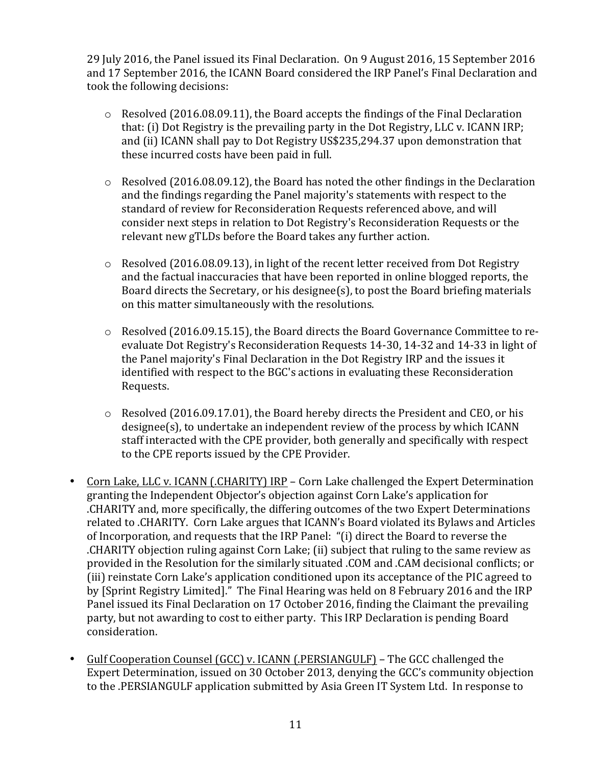29 July 2016, the Panel issued its Final Declaration. On 9 August 2016, 15 September 2016 and 17 September 2016, the ICANN Board considered the IRP Panel's Final Declaration and took the following decisions:

- $\circ$  Resolved (2016.08.09.11), the Board accepts the findings of the Final Declaration that: (i) Dot Registry is the prevailing party in the Dot Registry, LLC v. ICANN IRP; and (ii) ICANN shall pay to Dot Registry US\$235,294.37 upon demonstration that these incurred costs have been paid in full.
- $\circ$  Resolved (2016.08.09.12), the Board has noted the other findings in the Declaration and the findings regarding the Panel majority's statements with respect to the standard of review for Reconsideration Requests referenced above, and will consider next steps in relation to Dot Registry's Reconsideration Requests or the relevant new gTLDs before the Board takes any further action.
- $\circ$  Resolved (2016.08.09.13), in light of the recent letter received from Dot Registry and the factual inaccuracies that have been reported in online blogged reports, the Board directs the Secretary, or his designee(s), to post the Board briefing materials on this matter simultaneously with the resolutions.
- o Resolved (2016.09.15.15), the Board directs the Board Governance Committee to reevaluate Dot Registry's Reconsideration Requests 14-30, 14-32 and 14-33 in light of the Panel majority's Final Declaration in the Dot Registry IRP and the issues it identified with respect to the BGC's actions in evaluating these Reconsideration Requests.
- $\circ$  Resolved (2016.09.17.01), the Board hereby directs the President and CEO, or his designee(s), to undertake an independent review of the process by which ICANN staff interacted with the CPE provider, both generally and specifically with respect to the CPE reports issued by the CPE Provider.
- Corn Lake, LLC v. ICANN (.CHARITY) IRP Corn Lake challenged the Expert Determination granting the Independent Objector's objection against Corn Lake's application for .CHARITY and, more specifically, the differing outcomes of the two Expert Determinations related to .CHARITY. Corn Lake argues that ICANN's Board violated its Bylaws and Articles of Incorporation, and requests that the IRP Panel: "(i) direct the Board to reverse the CHARITY objection ruling against Corn Lake; (ii) subject that ruling to the same review as provided in the Resolution for the similarly situated .COM and .CAM decisional conflicts; or (iii) reinstate Corn Lake's application conditioned upon its acceptance of the PIC agreed to by [Sprint Registry Limited]." The Final Hearing was held on 8 February 2016 and the IRP Panel issued its Final Declaration on 17 October 2016, finding the Claimant the prevailing party, but not awarding to cost to either party. This IRP Declaration is pending Board consideration.
- Gulf Cooperation Counsel (GCC) v. ICANN (.PERSIANGULF) The GCC challenged the Expert Determination, issued on 30 October 2013, denying the GCC's community objection to the .PERSIANGULF application submitted by Asia Green IT System Ltd. In response to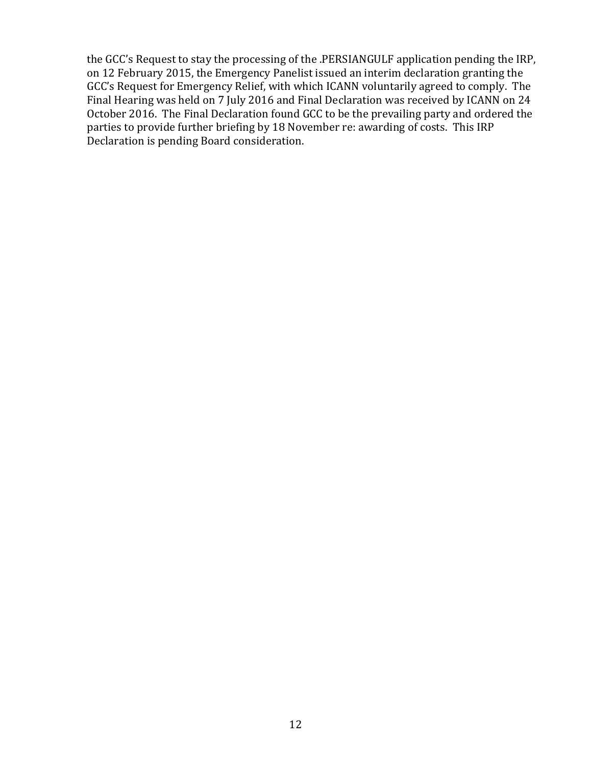the GCC's Request to stay the processing of the .PERSIANGULF application pending the IRP, on 12 February 2015, the Emergency Panelist issued an interim declaration granting the GCC's Request for Emergency Relief, with which ICANN voluntarily agreed to comply. The Final Hearing was held on 7 July 2016 and Final Declaration was received by ICANN on 24 October 2016. The Final Declaration found GCC to be the prevailing party and ordered the parties to provide further briefing by 18 November re: awarding of costs. This IRP Declaration is pending Board consideration.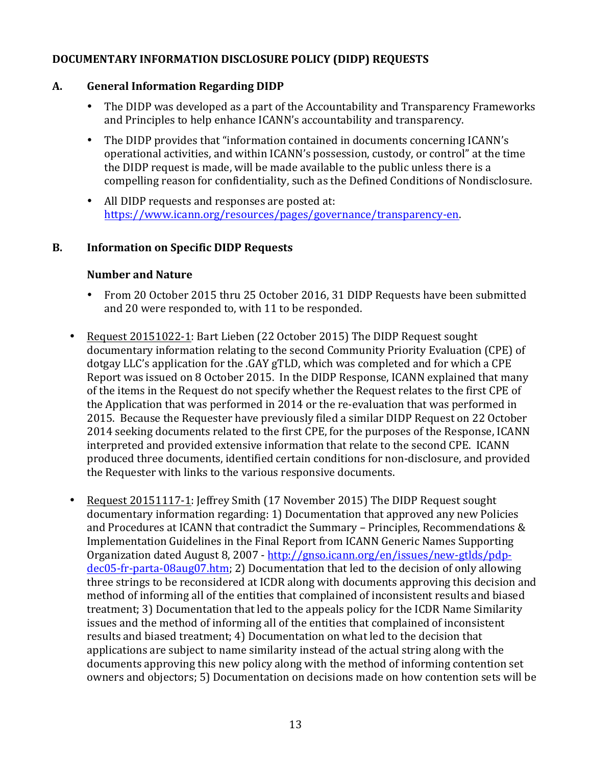# **DOCUMENTARY INFORMATION DISCLOSURE POLICY (DIDP) REQUESTS**

### **A. General Information Regarding DIDP**

- The DIDP was developed as a part of the Accountability and Transparency Frameworks and Principles to help enhance ICANN's accountability and transparency.
- The DIDP provides that "information contained in documents concerning ICANN's operational activities, and within ICANN's possession, custody, or control" at the time the DIDP request is made, will be made available to the public unless there is a compelling reason for confidentiality, such as the Defined Conditions of Nondisclosure.
- All DIDP requests and responses are posted at: https://www.icann.org/resources/pages/governance/transparency-en.

### **B.** Information on Specific DIDP Requests

#### **Number and Nature**

- From 20 October 2015 thru 25 October 2016, 31 DIDP Requests have been submitted and 20 were responded to, with 11 to be responded.
- Request 20151022-1: Bart Lieben (22 October 2015) The DIDP Request sought documentary information relating to the second Community Priority Evaluation (CPE) of dotgay LLC's application for the .GAY gTLD, which was completed and for which a CPE Report was issued on 8 October 2015. In the DIDP Response, ICANN explained that many of the items in the Request do not specify whether the Request relates to the first CPE of the Application that was performed in 2014 or the re-evaluation that was performed in 2015. Because the Requester have previously filed a similar DIDP Request on 22 October 2014 seeking documents related to the first CPE, for the purposes of the Response, ICANN interpreted and provided extensive information that relate to the second CPE. ICANN produced three documents, identified certain conditions for non-disclosure, and provided the Requester with links to the various responsive documents.
- Request 20151117-1: Jeffrey Smith (17 November 2015) The DIDP Request sought documentary information regarding: 1) Documentation that approved any new Policies and Procedures at ICANN that contradict the Summary – Principles, Recommendations  $&$ Implementation Guidelines in the Final Report from ICANN Generic Names Supporting Organization dated August 8, 2007 - http://gnso.icann.org/en/issues/new-gtlds/pdpdec05-fr-parta-08aug07.htm; 2) Documentation that led to the decision of only allowing three strings to be reconsidered at ICDR along with documents approving this decision and method of informing all of the entities that complained of inconsistent results and biased treatment; 3) Documentation that led to the appeals policy for the ICDR Name Similarity issues and the method of informing all of the entities that complained of inconsistent results and biased treatment; 4) Documentation on what led to the decision that applications are subject to name similarity instead of the actual string along with the documents approving this new policy along with the method of informing contention set owners and objectors; 5) Documentation on decisions made on how contention sets will be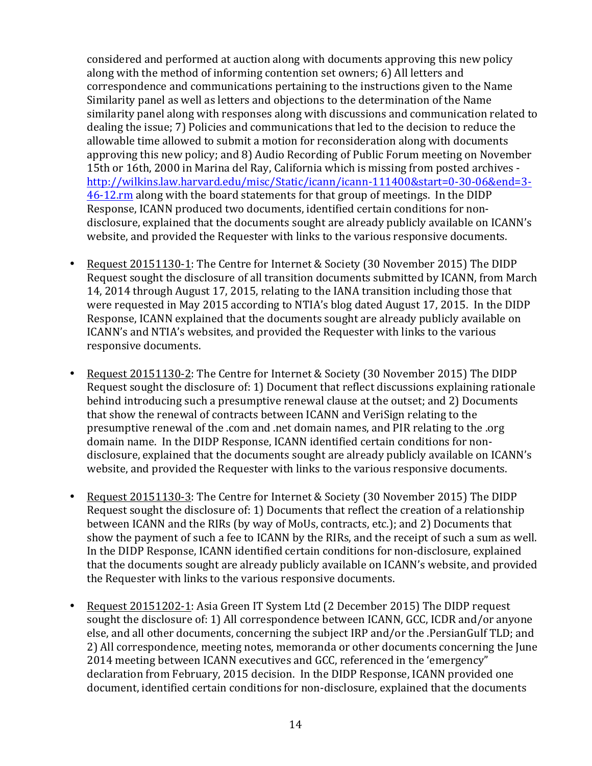considered and performed at auction along with documents approving this new policy along with the method of informing contention set owners; 6) All letters and correspondence and communications pertaining to the instructions given to the Name Similarity panel as well as letters and objections to the determination of the Name similarity panel along with responses along with discussions and communication related to dealing the issue: 7) Policies and communications that led to the decision to reduce the allowable time allowed to submit a motion for reconsideration along with documents approving this new policy; and 8) Audio Recording of Public Forum meeting on November 15th or 16th, 2000 in Marina del Ray, California which is missing from posted archives http://wilkins.law.harvard.edu/misc/Static/icann/icann-111400&start=0-30-06&end=3- 46-12.rm along with the board statements for that group of meetings. In the DIDP Response, ICANN produced two documents, identified certain conditions for nondisclosure, explained that the documents sought are already publicly available on ICANN's website, and provided the Requester with links to the various responsive documents.

- Request 20151130-1: The Centre for Internet & Society (30 November 2015) The DIDP Request sought the disclosure of all transition documents submitted by ICANN, from March 14, 2014 through August 17, 2015, relating to the IANA transition including those that were requested in May 2015 according to NTIA's blog dated August 17, 2015. In the DIDP Response, ICANN explained that the documents sought are already publicly available on ICANN's and NTIA's websites, and provided the Requester with links to the various responsive documents.
- Request 20151130-2: The Centre for Internet & Society (30 November 2015) The DIDP Request sought the disclosure of: 1) Document that reflect discussions explaining rationale behind introducing such a presumptive renewal clause at the outset: and 2) Documents that show the renewal of contracts between ICANN and VeriSign relating to the presumptive renewal of the .com and .net domain names, and PIR relating to the .org domain name. In the DIDP Response, ICANN identified certain conditions for nondisclosure, explained that the documents sought are already publicly available on ICANN's website, and provided the Requester with links to the various responsive documents.
- Request 20151130-3: The Centre for Internet & Society (30 November 2015) The DIDP Request sought the disclosure of: 1) Documents that reflect the creation of a relationship between ICANN and the RIRs (by way of MoUs, contracts, etc.); and 2) Documents that show the payment of such a fee to ICANN by the RIRs, and the receipt of such a sum as well. In the DIDP Response, ICANN identified certain conditions for non-disclosure, explained that the documents sought are already publicly available on ICANN's website, and provided the Requester with links to the various responsive documents.
- Request 20151202-1: Asia Green IT System Ltd (2 December 2015) The DIDP request sought the disclosure of: 1) All correspondence between ICANN, GCC, ICDR and/or anyone else, and all other documents, concerning the subject IRP and/or the .PersianGulf TLD; and 2) All correspondence, meeting notes, memoranda or other documents concerning the June 2014 meeting between ICANN executives and GCC, referenced in the 'emergency" declaration from February, 2015 decision. In the DIDP Response, ICANN provided one document, identified certain conditions for non-disclosure, explained that the documents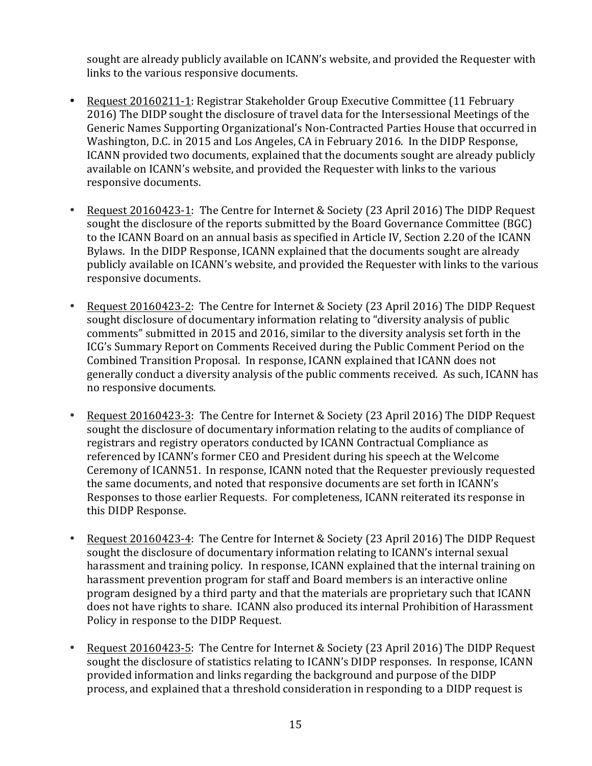sought are already publicly available on ICANN's website, and provided the Requester with links to the various responsive documents.

- Request 20160211-1: Registrar Stakeholder Group Executive Committee (11 February 2016) The DIDP sought the disclosure of travel data for the Intersessional Meetings of the Generic Names Supporting Organizational's Non-Contracted Parties House that occurred in Washington, D.C. in 2015 and Los Angeles, CA in February 2016. In the DIDP Response, ICANN provided two documents, explained that the documents sought are already publicly available on ICANN's website, and provided the Requester with links to the various responsive documents.
- Request 20160423-1: The Centre for Internet & Society (23 April 2016) The DIDP Request sought the disclosure of the reports submitted by the Board Governance Committee (BGC) to the ICANN Board on an annual basis as specified in Article IV, Section 2.20 of the ICANN Bylaws. In the DIDP Response, ICANN explained that the documents sought are already publicly available on ICANN's website, and provided the Requester with links to the various responsive documents.
- Request 20160423-2: The Centre for Internet & Society (23 April 2016) The DIDP Request sought disclosure of documentary information relating to "diversity analysis of public comments" submitted in 2015 and 2016, similar to the diversity analysis set forth in the ICG's Summary Report on Comments Received during the Public Comment Period on the Combined Transition Proposal. In response, ICANN explained that ICANN does not generally conduct a diversity analysis of the public comments received. As such, ICANN has no responsive documents.
- Request 20160423-3: The Centre for Internet & Society (23 April 2016) The DIDP Request sought the disclosure of documentary information relating to the audits of compliance of registrars and registry operators conducted by ICANN Contractual Compliance as referenced by ICANN's former CEO and President during his speech at the Welcome Ceremony of ICANN51. In response, ICANN noted that the Requester previously requested the same documents, and noted that responsive documents are set forth in ICANN's Responses to those earlier Requests. For completeness, ICANN reiterated its response in this DIDP Response.
- Request 20160423-4: The Centre for Internet & Society (23 April 2016) The DIDP Request sought the disclosure of documentary information relating to ICANN's internal sexual harassment and training policy. In response, ICANN explained that the internal training on harassment prevention program for staff and Board members is an interactive online program designed by a third party and that the materials are proprietary such that ICANN does not have rights to share. ICANN also produced its internal Prohibition of Harassment Policy in response to the DIDP Request.
- Request 20160423-5: The Centre for Internet & Society (23 April 2016) The DIDP Request sought the disclosure of statistics relating to ICANN's DIDP responses. In response, ICANN provided information and links regarding the background and purpose of the DIDP process, and explained that a threshold consideration in responding to a DIDP request is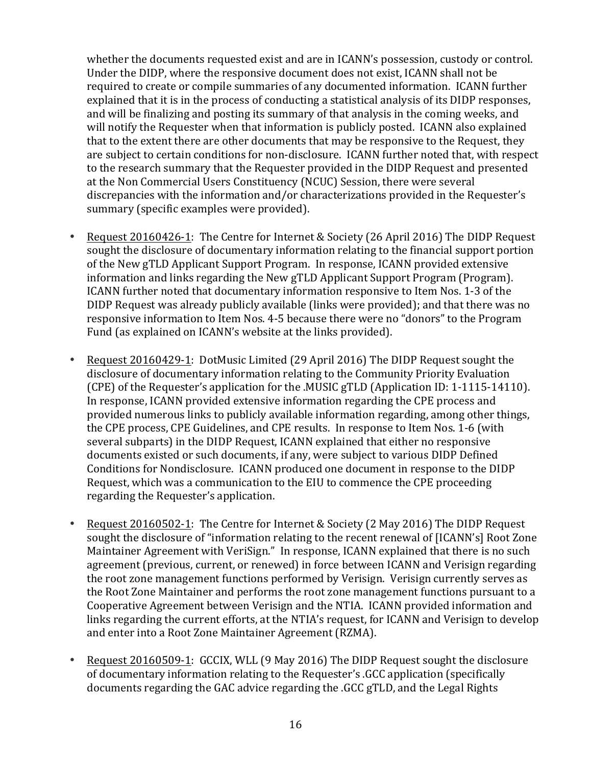whether the documents requested exist and are in ICANN's possession, custody or control. Under the DIDP, where the responsive document does not exist, ICANN shall not be required to create or compile summaries of any documented information. ICANN further explained that it is in the process of conducting a statistical analysis of its DIDP responses, and will be finalizing and posting its summary of that analysis in the coming weeks, and will notify the Requester when that information is publicly posted. ICANN also explained that to the extent there are other documents that may be responsive to the Request, they are subject to certain conditions for non-disclosure. ICANN further noted that, with respect to the research summary that the Requester provided in the DIDP Request and presented at the Non Commercial Users Constituency (NCUC) Session, there were several discrepancies with the information and/or characterizations provided in the Requester's summary (specific examples were provided).

- Request 20160426-1: The Centre for Internet & Society (26 April 2016) The DIDP Request sought the disclosure of documentary information relating to the financial support portion of the New gTLD Applicant Support Program. In response, ICANN provided extensive information and links regarding the New gTLD Applicant Support Program (Program). ICANN further noted that documentary information responsive to Item Nos. 1-3 of the DIDP Request was already publicly available (links were provided); and that there was no responsive information to Item Nos. 4-5 because there were no "donors" to the Program Fund (as explained on ICANN's website at the links provided).
- Request 20160429-1: DotMusic Limited (29 April 2016) The DIDP Request sought the disclosure of documentary information relating to the Community Priority Evaluation (CPE) of the Requester's application for the MUSIC gTLD (Application ID: 1-1115-14110). In response, ICANN provided extensive information regarding the CPE process and provided numerous links to publicly available information regarding, among other things, the CPE process, CPE Guidelines, and CPE results. In response to Item Nos. 1-6 (with several subparts) in the DIDP Request, ICANN explained that either no responsive documents existed or such documents, if any, were subject to various DIDP Defined Conditions for Nondisclosure. ICANN produced one document in response to the DIDP Request, which was a communication to the EIU to commence the CPE proceeding regarding the Requester's application.
- Request 20160502-1: The Centre for Internet & Society (2 May 2016) The DIDP Request sought the disclosure of "information relating to the recent renewal of [ICANN's] Root Zone Maintainer Agreement with VeriSign." In response, ICANN explained that there is no such agreement (previous, current, or renewed) in force between ICANN and Verisign regarding the root zone management functions performed by Verisign. Verisign currently serves as the Root Zone Maintainer and performs the root zone management functions pursuant to a Cooperative Agreement between Verisign and the NTIA. ICANN provided information and links regarding the current efforts, at the NTIA's request, for ICANN and Verisign to develop and enter into a Root Zone Maintainer Agreement (RZMA).
- Request 20160509-1: GCCIX, WLL (9 May 2016) The DIDP Request sought the disclosure of documentary information relating to the Requester's .GCC application (specifically documents regarding the GAC advice regarding the .GCC gTLD, and the Legal Rights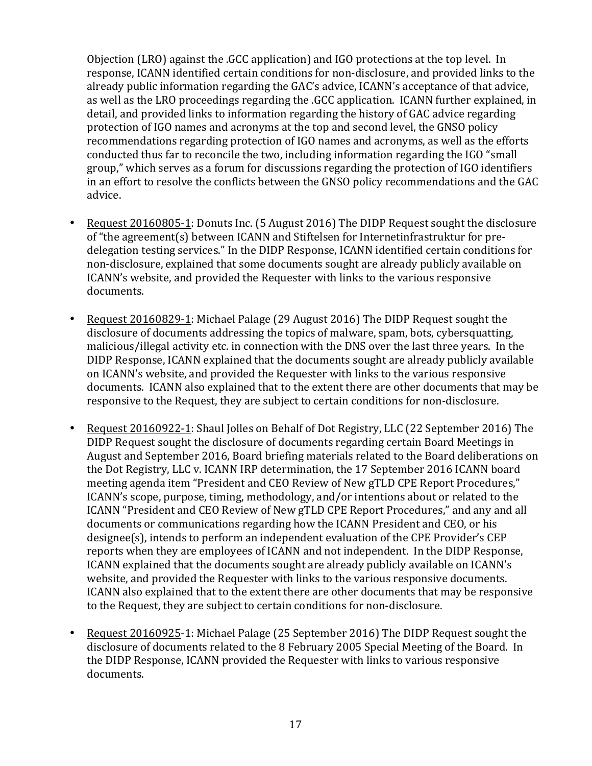Objection (LRO) against the .GCC application) and IGO protections at the top level. In response, ICANN identified certain conditions for non-disclosure, and provided links to the already public information regarding the GAC's advice, ICANN's acceptance of that advice, as well as the LRO proceedings regarding the .GCC application. ICANN further explained, in detail, and provided links to information regarding the history of GAC advice regarding protection of IGO names and acronyms at the top and second level, the GNSO policy recommendations regarding protection of IGO names and acronyms, as well as the efforts conducted thus far to reconcile the two, including information regarding the IGO "small group," which serves as a forum for discussions regarding the protection of IGO identifiers in an effort to resolve the conflicts between the GNSO policy recommendations and the GAC advice.

- Request 20160805-1: Donuts Inc. (5 August 2016) The DIDP Request sought the disclosure of "the agreement(s) between ICANN and Stiftelsen for Internetinfrastruktur for predelegation testing services." In the DIDP Response, ICANN identified certain conditions for non-disclosure, explained that some documents sought are already publicly available on ICANN's website, and provided the Requester with links to the various responsive documents.
- Request 20160829-1: Michael Palage (29 August 2016) The DIDP Request sought the disclosure of documents addressing the topics of malware, spam, bots, cybersquatting, malicious/illegal activity etc. in connection with the DNS over the last three years. In the DIDP Response, ICANN explained that the documents sought are already publicly available on ICANN's website, and provided the Requester with links to the various responsive documents. ICANN also explained that to the extent there are other documents that may be responsive to the Request, they are subject to certain conditions for non-disclosure.
- Request 20160922-1: Shaul Jolles on Behalf of Dot Registry, LLC (22 September 2016) The DIDP Request sought the disclosure of documents regarding certain Board Meetings in August and September 2016, Board briefing materials related to the Board deliberations on the Dot Registry, LLC v. ICANN IRP determination, the 17 September 2016 ICANN board meeting agenda item "President and CEO Review of New gTLD CPE Report Procedures," ICANN's scope, purpose, timing, methodology, and/or intentions about or related to the ICANN "President and CEO Review of New gTLD CPE Report Procedures," and any and all documents or communications regarding how the ICANN President and CEO, or his designee(s), intends to perform an independent evaluation of the CPE Provider's CEP reports when they are employees of ICANN and not independent. In the DIDP Response, ICANN explained that the documents sought are already publicly available on ICANN's website, and provided the Requester with links to the various responsive documents. ICANN also explained that to the extent there are other documents that may be responsive to the Request, they are subject to certain conditions for non-disclosure.
- Request 20160925-1: Michael Palage (25 September 2016) The DIDP Request sought the disclosure of documents related to the 8 February 2005 Special Meeting of the Board. In the DIDP Response, ICANN provided the Requester with links to various responsive documents.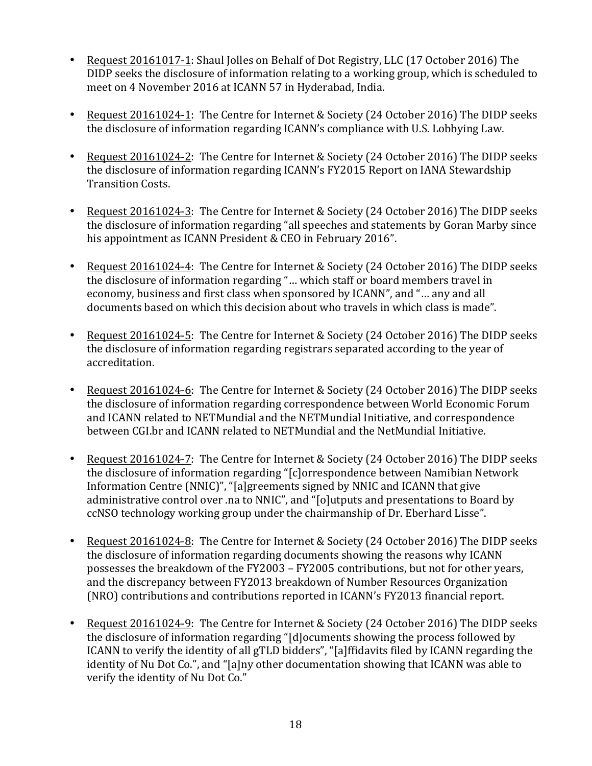- Request 20161017-1: Shaul Jolles on Behalf of Dot Registry, LLC (17 October 2016) The DIDP seeks the disclosure of information relating to a working group, which is scheduled to meet on 4 November 2016 at ICANN 57 in Hyderabad, India.
- Request 20161024-1: The Centre for Internet & Society (24 October 2016) The DIDP seeks the disclosure of information regarding ICANN's compliance with U.S. Lobbying Law.
- Request 20161024-2: The Centre for Internet & Society (24 October 2016) The DIDP seeks the disclosure of information regarding ICANN's FY2015 Report on IANA Stewardship Transition Costs.
- Request 20161024-3: The Centre for Internet & Society (24 October 2016) The DIDP seeks the disclosure of information regarding "all speeches and statements by Goran Marby since his appointment as ICANN President & CEO in February 2016".
- Request 20161024-4: The Centre for Internet & Society (24 October 2016) The DIDP seeks the disclosure of information regarding "... which staff or board members travel in economy, business and first class when sponsored by ICANN", and "... any and all documents based on which this decision about who travels in which class is made".
- Request 20161024-5: The Centre for Internet & Society (24 October 2016) The DIDP seeks the disclosure of information regarding registrars separated according to the year of accreditation.
- Request 20161024-6: The Centre for Internet & Society (24 October 2016) The DIDP seeks the disclosure of information regarding correspondence between World Economic Forum and ICANN related to NETMundial and the NETMundial Initiative, and correspondence between CGI.br and ICANN related to NETMundial and the NetMundial Initiative.
- Request 20161024-7: The Centre for Internet & Society (24 October 2016) The DIDP seeks the disclosure of information regarding "[c]orrespondence between Namibian Network Information Centre (NNIC)", "[a]greements signed by NNIC and ICANN that give administrative control over .na to NNIC", and "[o]utputs and presentations to Board by ccNSO technology working group under the chairmanship of Dr. Eberhard Lisse".
- Request 20161024-8: The Centre for Internet & Society (24 October 2016) The DIDP seeks the disclosure of information regarding documents showing the reasons why ICANN possesses the breakdown of the FY2003 – FY2005 contributions, but not for other years, and the discrepancy between FY2013 breakdown of Number Resources Organization (NRO) contributions and contributions reported in ICANN's FY2013 financial report.
- Request 20161024-9: The Centre for Internet & Society (24 October 2016) The DIDP seeks the disclosure of information regarding "[d]ocuments showing the process followed by ICANN to verify the identity of all gTLD bidders", "[a]ffidavits filed by ICANN regarding the identity of Nu Dot Co.", and "[a]ny other documentation showing that ICANN was able to verify the identity of Nu Dot Co."